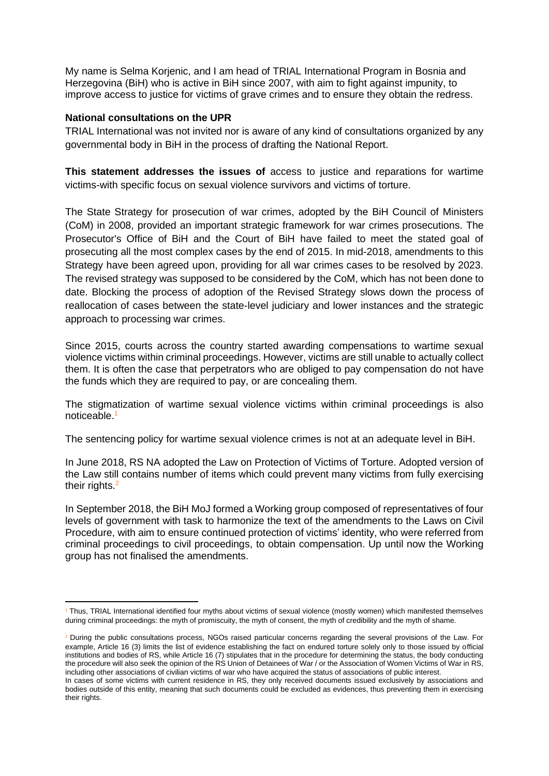My name is Selma Korjenic, and I am head of TRIAL International Program in Bosnia and Herzegovina (BiH) who is active in BiH since 2007, with aim to fight against impunity, to improve access to justice for victims of grave crimes and to ensure they obtain the redress.

## **National consultations on the UPR**

TRIAL International was not invited nor is aware of any kind of consultations organized by any governmental body in BiH in the process of drafting the National Report.

**This statement addresses the issues of** access to justice and reparations for wartime victims-with specific focus on sexual violence survivors and victims of torture.

The State Strategy for prosecution of war crimes, adopted by the BiH Council of Ministers (CoM) in 2008, provided an important strategic framework for war crimes prosecutions. The Prosecutor's Office of BiH and the Court of BiH have failed to meet the stated goal of prosecuting all the most complex cases by the end of 2015. In mid-2018, amendments to this Strategy have been agreed upon, providing for all war crimes cases to be resolved by 2023. The revised strategy was supposed to be considered by the CoM, which has not been done to date. Blocking the process of adoption of the Revised Strategy slows down the process of reallocation of cases between the state-level judiciary and lower instances and the strategic approach to processing war crimes.

Since 2015, courts across the country started awarding compensations to wartime sexual violence victims within criminal proceedings. However, victims are still unable to actually collect them. It is often the case that perpetrators who are obliged to pay compensation do not have the funds which they are required to pay, or are concealing them.

The stigmatization of wartime sexual violence victims within criminal proceedings is also noticeable.<sup>1</sup>

The sentencing policy for wartime sexual violence crimes is not at an adequate level in BiH.

In June 2018, RS NA adopted the Law on Protection of Victims of Torture. Adopted version of the Law still contains number of items which could prevent many victims from fully exercising their rights.<sup>2</sup>

In September 2018, the BiH MoJ formed a Working group composed of representatives of four levels of government with task to harmonize the text of the amendments to the Laws on Civil Procedure, with aim to ensure continued protection of victims' identity, who were referred from criminal proceedings to civil proceedings, to obtain compensation. Up until now the Working group has not finalised the amendments.

 $1$  Thus, TRIAL International identified four myths about victims of sexual violence (mostly women) which manifested themselves during criminal proceedings: the myth of promiscuity, the myth of consent, the myth of credibility and the myth of shame.

<sup>&</sup>lt;sup>2</sup> During the public consultations process, NGOs raised particular concerns regarding the several provisions of the Law. For example, Article 16 (3) limits the list of evidence establishing the fact on endured torture solely only to those issued by official institutions and bodies of RS, while Article 16 (7) stipulates that in the procedure for determining the status, the body conducting the procedure will also seek the opinion of the RS Union of Detainees of War / or the Association of Women Victims of War in RS, including other associations of civilian victims of war who have acquired the status of associations of public interest.

In cases of some victims with current residence in RS, they only received documents issued exclusively by associations and bodies outside of this entity, meaning that such documents could be excluded as evidences, thus preventing them in exercising their rights.